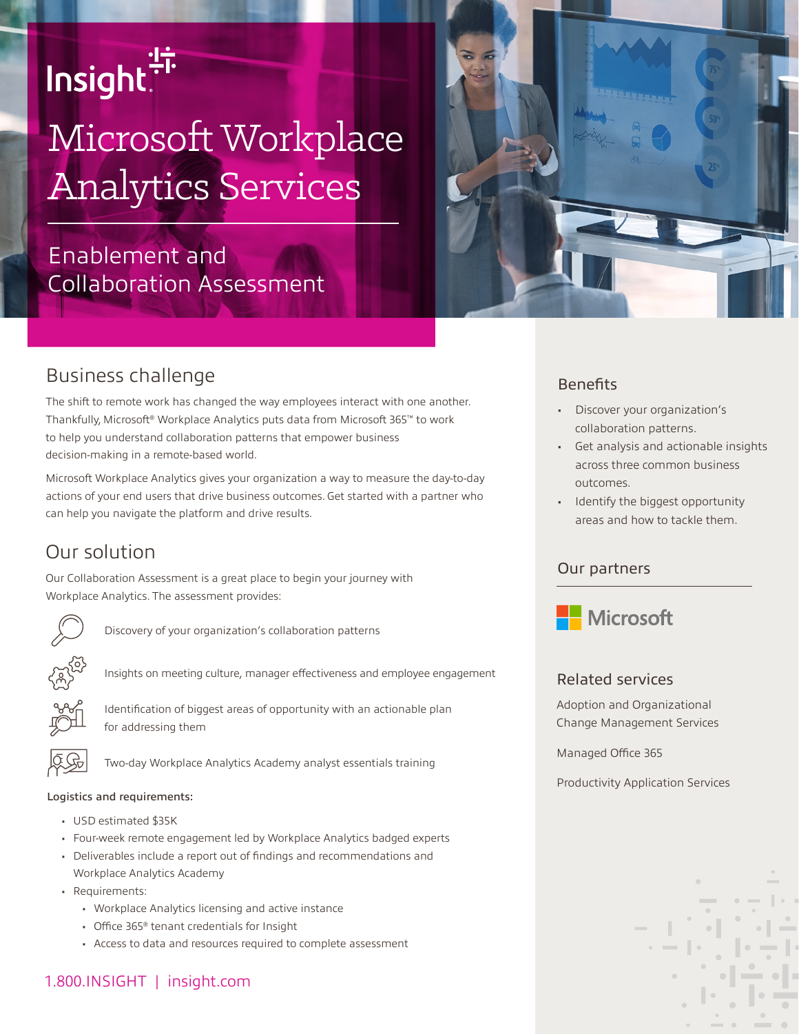# Insight.<sup>"</sup>

## Microsoft Workplace Analytics Services

## Enablement and Collaboration Assessment



### Business challenge

The shift to remote work has changed the way employees interact with one another. Thankfully, Microsoft® Workplace Analytics puts data from Microsoft 365™ to work to help you understand collaboration patterns that empower business decision-making in a remote-based world.

Microsoft Workplace Analytics gives your organization a way to measure the day-to-day actions of your end users that drive business outcomes. Get started with a partner who can help you navigate the platform and drive results.

## Our solution

Our Collaboration Assessment is a great place to begin your journey with Workplace Analytics. The assessment provides:



Discovery of your organization's collaboration patterns



Insights on meeting culture, manager effectiveness and employee engagement

Identification of biggest areas of opportunity with an actionable plan for addressing them



Two-day Workplace Analytics Academy analyst essentials training

#### Logistics and requirements:

- USD estimated \$35K
- Four-week remote engagement led by Workplace Analytics badged experts
- Deliverables include a report out of findings and recommendations and Workplace Analytics Academy
- Requirements:
	- Workplace Analytics licensing and active instance
	- Office 365® tenant credentials for Insight
	- Access to data and resources required to complete assessment

### 1.800.INSIGHT | insight.com

#### **Benefits**

- Discover your organization's collaboration patterns.
- Get analysis and actionable insights across three common business outcomes.
- Identify the biggest opportunity areas and how to tackle them.

#### Our partners



#### Related services

Adoption and Organizational Change Management Services

Managed Office 365

Productivity Application Services